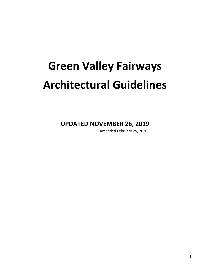# **Green Valley Fairways Architectural Guidelines**

**UPDATED NOVEMBER 26, 2019**

Amended February 25, 2020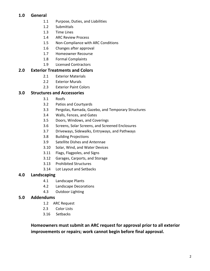# **1.0 General**

- 1.1 Purpose, Duties, and Liabilities
- 1.2 Submittals
- 1.3 Time Lines
- 1.4 ARC Review Process
- 1.5 Non-Compliance with ARC Conditions
- 1.6 Changes after approval
- 1.7 Homeowner Recourse
- 1.8 Formal Complaints
- 1.9 Licensed Contractors

# **2.0 Exterior Treatments and Colors**

- 2.1 Exterior Materials
- 2.2 Exterior Murals
- 2.3 Exterior Paint Colors

# **3.0 Structures and Accessories**

- 3.1 Roofs
- 3.2 Patios and Courtyards
- 3.3 Pergolas, Ramada, Gazebo, and Temporary Structures
- 3.4 Walls, Fences, and Gates
- 3.5 Doors, Windows, and Coverings
- 3.6 Screens, Solar Screens, and Screened Enclosures
- 3.7 Driveways, Sidewalks, Entryways, and Pathways
- 3.8 Building Projections
- 3.9 Satellite Dishes and Antennae
- 3.10 Solar, Wind, and Water Devices
- 3.11 Flags, Flagpoles, and Signs
- 3.12 Garages, Carports, and Storage
- 3.13 Prohibited Structures
- 3.14 Lot Layout and Setbacks

# **4.0 Landscaping**

- 4.1 Landscape Plants
- 4.2 Landscape Decorations
- 4.3 Outdoor Lighting

# **5.0 Addendums**

- 1.2 ARC Request
- 2.3 Color Lists
- 3.16 Setbacks

Homeowners must submit an ARC request for approval prior to all exterior **improvements or repairs; work cannot begin before final approval.**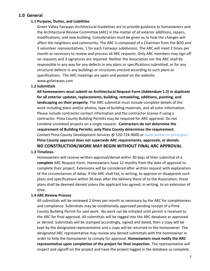# **1.0 General**

# **1.1 Purpose, Duties, and Liabilities**

Green Valley Fairways Architectural Guidelines are to provide guidance to homeowners and the Architectural Review Committee (ARC) in the matter of all exterior additions, repairs, modifications, and new building. Consideration must be given as to how the changes will affect the neighbors and community. The ARC is composed of a Chairman from the BOD and 3 volunteer representatives, 1 for each Fairways subdivision. The ARC will meet 2 times per month as necessary to review and process all ARC requests. Only ARC members may sign off on requests and 3 signatures are required. Neither the Association nor the ARC shall be responsible in any way for any defects in any plans or specifications submitted, or for any structural defects in any buildings or structures erected according to such plans or specifications. The ARC meetings are open and posted on the website. www.gvfairways.com 

#### **1.2 Submittals**

All homeowners must submit an Architectural Request Form (Addendum 1.2) in *duplicate* for all exterior updates, replacements, building, remodeling, additions, painting, and **landscaping on their property**. The ARC submittal must include complete details of the work including plans and/or photos, type of building materials, and all color information. Please include contractor contact information and the contractor license if using a contractor. Pima County Building Permits may be required for ARC approval. Do not combine unrelated projects on a single request. Contractors do not determine the **requirement of Building Permits; only Pima County determines the requirement.** Contact Pima County Development Services @ 520-724-9000 or www.webscms.pima.gov/ Pima County approval does not supersede ARC requirements, approvals, or denials. **NO CONSTRUCTION/WORK MAY BEGIN WITHOUT FINAL ARC APPROVAL**.

## **1.3 Timelines**

Homeowners will receive written approval/denial within 30 days of their submittal of a **complete** ARC Request Form. Homeowners have 12 months from the date of approval to complete their project. Extensions will be considered after written request with explanation of the circumstances of delay. If the ARC shall fail, in writing, to approve or disapprove such plans and specifications within 30 days after the delivery there of to the Association, these plans shall be deemed denied unless the applicant has agreed, in writing, to an extension of time.

# **1.4 ARC Review Process**

All submittals will be reviewed 2 times per month as necessary by the ARC for completeness and compliance. Submittals may be conditionally approved pending receipt of a Pima County Building Permit for said work. No work can be initiated until permit is received to the ARC for final approval. All submittals will be logged into the ARC database as approved or denied. Submittals will be stamped accordingly, signed and dated, then a copy will be kept by the designated representative and a copy will be returned to the homeowner. The designated ARC representative may review any denied submittals with the homeowner in order to help the homeowner to comply for approval. Homeowners must notify the ARC representative upon completion of the project for final inspection. The representative will inspect and signoff on the project and have the project logged in the database as complete.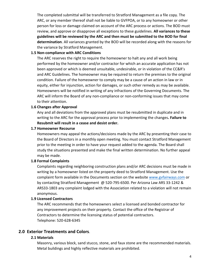The completed submittal will be transferred to Stratford Management as a file copy. The ARC, or any member thereof shall not be liable to GVFPOA, or to any homeowner or other person for loss or damage claimed on account of the ARC process or actions. The BOD must review, and approve or disapprove all exceptions to these guidelines. **All variances to these** guidelines will be reviewed by the ARC and then must be submitted to the BOD for final **determination**. All variances granted by the BOD will be recorded along with the reasons for the variance by Stratford Management.

# **1.5 Non-compliance with ARC Conditions**

The ARC reserves the right to require the homeowner to halt any and all work being performed by the homeowner and/or contractor for which an accurate application has not been approved or which is deemed unsuitable, undesirable, or in violation of the CC&R's and ARC Guidelines. The homeowner may be required to return the premises to the original condition. Failure of the homeowner to comply may be a cause of an action in law or in equity, either for injunction, action for damages, or such other remedy as may be available. Homeowners will be notified in writing of any infractions of the Governing Documents. The ARC will inform the Board of any non-compliance or non-conforming issues that may come to their attention.

#### **1.6 Changes after Approval**

Any and all deviations from the approved plans must be resubmitted in duplicate and in writing to the ARC for the approval process prior to implementing the changes. Failure to **Resubmit will result in a cease and desist order.** 

#### **1.7 Homeowner Recourse**

Homeowners may appeal the actions/decisions made by the ARC by presenting their case to the Board of Directors in a monthly open meeting. You must contact Stratford Management prior to the meeting in order to have your request added to the agenda. The Board shall study the situations presented and make the final written determination. No further appeal may be made.

## **1.8 Formal Complaints**

Complaints regarding neighboring construction plans and/or ARC decisions must be made in writing by a homeowner listed on the property deed to Stratford Management. Use the complaint form available in the Documents section on the website www.gvfairways.com or by contacting Stratford Management @ 520-795-6500. Per Arizona Law ARS 33-1242 & ARS33-1803 any complaint lodged with the Association related to a violation will not remain anonymous.

#### **1.9 Licensed Contractors**

The ARC recommends that the homeowners select a licensed and bonded contractor for any improvement projects on their property. Contact the office of the Registrar of Contractors to determine the licensing status of potential contractors. Telephone: 520-628-6345

# **2.0 Exterior Treatments and Colors**.

#### **2.1 Materials**

Masonry, various block, sand stucco, stone, and faux stone are the recommended materials. Metal buildings and highly reflective materials are prohibited.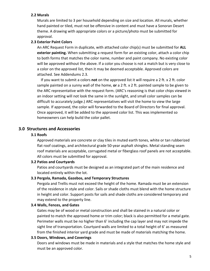## **2.2 Murals**

Murals are limited to 3 per household depending on size and location. All murals, whether hand painted or tiled, must not be offensive in content and must have a Sonoran Desert theme. A drawing with appropriate colors or a picture/photo must be submitted for approval.

## **2.3 Exterior Paint Colors**

An ARC Request Form in duplicate, with attached color chip(s) must be submitted for **ALL exterior painting.** When submitting a request form for an existing color, attach a color chip to both forms that matches the color name, number and paint company. No existing color will be approved without the above. If a color you choose is not a match but is very close to a color on the approved list, then it may be deemed acceptable. Approved colors are attached. See Addendums 2.3.

If you want to submit a colors **not** on the approved list it will require a 2 ft. x 2 ft. color sample painted on a sunny wall of the home, or a 2 ft. x 2 ft. painted sample to be given to the ARC representative with the request form. (ARC's reasoning is that color chips viewed in an indoor setting will not look the same in the sunlight, and small color samples can be difficult to accurately judge.) ARC representatives will visit the home to view the large sample. If approved, the color will forwarded to the Board of Directors for final approval. Once approved, it will be added to the approved color list. This was implemented so homeowners can help build the color pallet.

# **3.0 Structures and Accessories**

## **3.1 Roofs**

Approved materials are concrete or clay tiles in muted earth tones, white or tan rubberized flat roof coatings, and architectural grade 50-year asphalt shingles. Metal standing seam roof materials are acceptable, corrugated metal or fiberglass roof panels are not acceptable. All colors must be submitted for approval.

#### **3.2 Patios and Courtyards**

Patios and courtyards must be designed as an integrated part of the main residence and located entirely within the lot.

#### **3.3 Pergola, Ramada, Gazebos, and Temporary Structures**

Pergola and Trellis must not exceed the height of the home. Ramada must be an extension of the residence in style and color. Sails or shade cloths must blend with the home structure in height and color. Support posts for sails and shade cloths are considered temporary and may extend to the property line.

#### **3.4 Walls, Fences, and Gates**

Gates may be of wood or metal construction and shall be stained in a natural color or painted to match the approved home or trim color; black is also permitted for a metal gate. Perimeter walls must be no higher than 6' including the cap layer and may not impede the sight line of transportation. Courtyard walls are limited to a total height of 6' as measured from the finished interior yard grade and must be made of materials matching the home.

#### **3.5 Doors, Windows, and Coverings**

Doors and windows must be made in materials and a style that matches the home style and must be an approved color.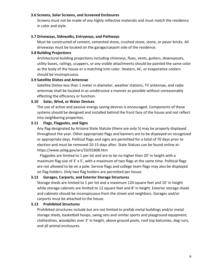## **3.6 Screens, Solar Screens, and Screened Enclosures**

Screens must not be made of any highly reflective materials and must match the residence in color and style.

## **3.7 Driveways, Sidewalks, Entryways, and Pathways**

Must be constructed of cement, cemented stone, crushed stone, stone, or paver bricks. All driveways must be located on the garage/carport side of the residence.

## **3.8 Building Projections**

Architectural building projections including chimneys, flues, vents, gutters, downspouts, utility boxes, railings, scuppers, or any visible attachments should be painted the same color as the body of the house or a matching trim color. Heaters, AC, or evaporative coolers should be inconspicuous.

## **3.9 Satellite Dishes and Antennae**

Satellite Dishes less than 1 meter in diameter, weather stations, TV antennae, and radio antennae shall be located in as unobtrusive a manner as possible without unreasonably effecting the efficiency or function.

## **3.10 Solar, Wind, or Water Devices**

The use of active and passive energy saving devices is encouraged. Components of these systems should be designed and installed behind the front face of the house and not reflect into neighboring properties.

## **3.11 Flags, Flagpoles, and Signs**

Any flag designated by Arizona State Statute (there are only 5) may be properly displayed throughout the year. Other appropriate flags and banners are to be displayed on recognized or appropriate days. Political flags and signs are permitted for a total of 70 days prior to election and must be removed 10-15 days after. State Statues can be found online at: https://www.azleg.gov/ars/33/01808.htm

Flagpoles are limited to 1 per lot and are to be no higher than  $20'$  in height with a maximum flag size of  $3' \times 5'$ , with a maximum of two flags at the same time. Political flags are not allowed to be on a pole. Service flags and college team flags may also be displayed on flag holders. Only two flag holders are permitted per house.

# **3.12 Garages, Carports, and Exterior Storage Structures**

Storage sheds are limited to 1 per lot and a maximum 120 square feet and 10' in height while storage cabinets are limited to 12 square feet and 8' in height. Exterior storage sheds and cabinets should be inconspicuous from the street and neighbors. Garages and/or carports must be attached to the house.

#### **3.13 Prohibited Structures**

Prohibited structures include but are not limited to prefab metal buildings and/or metal storage sheds, basketball hoops, swing sets and similar sports and playground equipment, clotheslines, woodpiles over 3' in height, above ground pools, roof top balconies, dog runs, and all animal enclosures.